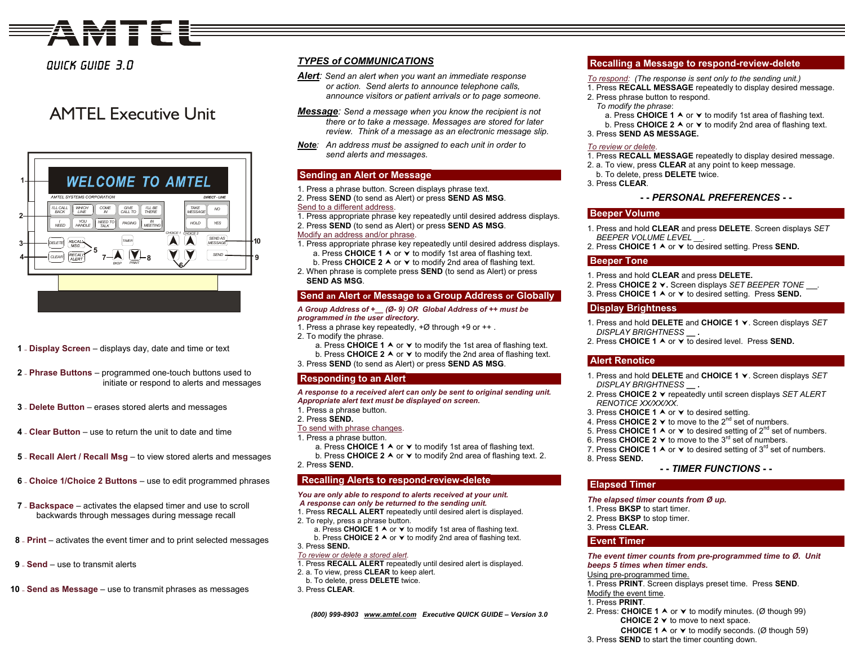# **AMTEE**

## Quick Guide 3.0

## AMTEL Executive Unit



- **1 – Display Screen** displays day, date and time or text
- **2 – Phrase Buttons** program med one-touch buttons used to initiate or respond to alerts and messages
- **3 – Delete Button** erases stored alerts and messages
- **4 – Clear Button** use to return the unit to date and time
- **5 – Recall Alert / Recall Msg** to view stored alerts and messages
- **6 – Choice 1/Choice 2 Buttons** use to edit programmed phrases
- **7 – Backspace** activates the elapsed timer and use to scroll backwards through messages during message recall
- **8 – Print** activates the event timer and to print selected messages
- **9 – Send** use to transmit alerts
- **10 – Send as Message** use to transmit phrases as messages

## *TYPES of COMMUNICATIONS*

- *Alert: Send an alert when you want an immediate response or action. Send alerts to announce telephone calls, announce visitors or patient arrivals or to page someone.*
- *Message: Send a message when you know the recipient is not there or to take a message. Messages are stored for later review. Think of a message as an electronic message slip.*
- *Note: An address must be assigned to each unit in order to send alerts and messages.*

## **Sen ding an Alert or Message**

- 1. Press a phrase button. Screen displays phrase text.
- 2. Press **SEND** (to send as Alert) or press **SEND AS MSG**.

## Send to a different address.

- 1. Press appropriate phrase key repeatedly until desired address displays.
- 2. Press **SEND** (to send as Alert) or press **SEND AS MSG**.

## Modify an address and/or phrase.

- 1. Press appropriate phrase key repeatedly until desired address displays. a. Press **CHOICE 1** A or  $\vee$  to modify 1st area of flashing text. b. Press **CHOICE 2 A** or **∀** to modify 2nd area of flashing text.
- 2. When phrase is complete press **SEND** (to send as Alert) or press **SEND AS MSG**.

## **Send an Alert or Message to a Group Address or Globally**

#### *A Group Address of +\_\_ (Ø- 9) OR Global Address of ++ must be programmed in the user directory.*

- 1. Press a phrase key repeatedly, +Ø through +9 or ++ .
- 2. To modify the phrase.
	- a. Press CHOICE 1 A or  $\blacktriangledown$  to modify the 1st area of flashing text. b. Press CHOICE 2 A or Y to modify the 2nd area of flashing text.
- 3. Press **SEND** (to send as Alert) or press **SEND AS MSG**.

## **Respondin g t o an Alert**

## *A response to a received alert can only be sent to original sending unit. Appropriate alert text must be displayed on screen.*

1. Press a phrase button. 2. Press **SEND.** 

## To send with phrase changes.

- 1. Press a phrase button.
- a. Press CHOICE 1 A or **∀** to modify 1st area of flashing text.
- b. Press CHOICE 2 A or  $\vee$  to modify 2nd area of flashing text. 2. 2. Press **SEND.**

## **Recalling Alerts to respond-re vie w-delete**

## *You are only able to respond to alerts received at your unit.*

- *A response can only be returned to the sending unit.* 1. Press **RECALL ALERT** repeatedly until desired alert is displayed.
- 2. To reply, press a phrase button.
- a. Press CHOICE 1  $\land$  or  $\lor$  to modify 1st area of flashing text. b. Press **CHOICE 2**  $\land$  or  $\lor$  to modify 2nd area of flashing text.

## 3. Press **SEND.**

- *To review or delete a stored alert.*
- 1. Press **RECALL ALERT** repeatedly until desired alert is displayed.
- 2. a. To view, press **CLE AR** to keep alert.
- b. To delete, press **DELETE** twice.
- 3. Press **CLEAR**.

*(800) 999-8903 <sup>w</sup> w[w.amtel.com](http://www.amtel.com/) Executive QUICK GUIDE – Version 3.0*

## **Recallin g a Message to res p ond-re view-delete**

- *To respond: (The response is sent only to the sending unit.)*
- 1. Press **RECALL MESSAGE** repeatedly to display desired message.
- 2. Press phrase button to respond.
- *To modify the phrase*:
	- a. Press CHOICE 1 A or **∀** to modify 1st area of flashing text. b. Press CHOICE 2 A or **∀** to modify 2nd area of flashing text.
- 3. Press **SEND AS MESS AGE.**

## *To review or delete.*

- 1. Press **RECALL MESSAGE** repeatedly to display desired message.
- 2. a. To view, press **CLE AR** at any point to keep message.
- b. To delete, press **DELETE** twice.
- 3. Press **CLEAR**.

## **- -** *PERSONAL PREFERENCES* **- -**

## **Beeper Volume**

- 1. Press and hold **CLEAR** and press **DELETE**. Screen displays *SET BEEPER VOLUME LEVEL \_\_.*
- 2. Press CHOICE 1 A or  $\checkmark$  to desired setting. Press SEND.

## **Beeper Tone**

- 1. Press and hold **CLEAR** and press **DELETE.**
- 2. Press **CHOICE 2**<sup>j</sup>**.** Screen displays *S ET BEEPER TONE .*
- 3. Press CHOICE 1 A or **∀** to desired setting. Press SEND.

## **Display Brightness**

- 1. Press and hold **DELETE** and **CHOICE 1** <sup>j</sup>. Screen displays *SET DISPLAY BRI GHTNESS \_\_ .*
- 2. Press CHOICE 1 A or **∀** to desired level. Press SEND.

## **Alert Renotice**

- 1. Press and hold **DELETE** and **CHOICE 1** <sup>j</sup>. Screen displays *SET DISPLAY BRI GHTNESS \_\_ .*
- 2. Press **CHOICE 2** <sup>j</sup> repeatedly until screen displays *SET ALERT RENOTICE XX/XX/XX*.
- 3. Press CHOICE 1 A or **∀** to desired setting.
- 4. Press CHOICE 2 ▼ to move to the 2<sup>nd</sup> set of numbers.
- 5. Press CHOICE 1  $\blacktriangle$  or  $\blacktriangledown$  to desired setting of 2<sup>nd</sup> set of numbers.
- 6. Press **CHOICE 2**  $\forall$  to move to the 3<sup>rd</sup> set of numbers.
- 7. Press CHOICE 1  $\blacktriangle$  or  $\blacktriangledown$  to desired setting of 3<sup>rd</sup> set of numbers. 8. Press **SEND.**

## **- -** *TIMER FUNCTIONS* **- -**

## **Elapsed Timer**

## *The elapsed timer counts from Ø up.*

- 1. Press **BKSP** to start timer.
- 2. Press **BKSP** to stop timer.
- 3. Press **CLEAR.**

## **Event Timer**

*The event timer counts from pre-programmed time to Ø. Unit beeps 5 times when timer en ds.* 

#### Using pre-programmed time.

1. Press **PRINT**. Screen displays preset time. Press **SEND**. Modify the event time.

- 1. Press **PRINT**.
- 2. Press: CHOICE 1 ∧ or ▼ to modify minutes. (Ø though 99) **CHOICE 2**  $\blacktriangledown$  to move to next space.
	- **CHOICE 1** A or  $\vee$  to modify seconds. (Ø though 59)
- 3. Press **SEND** to start the timer counting down.